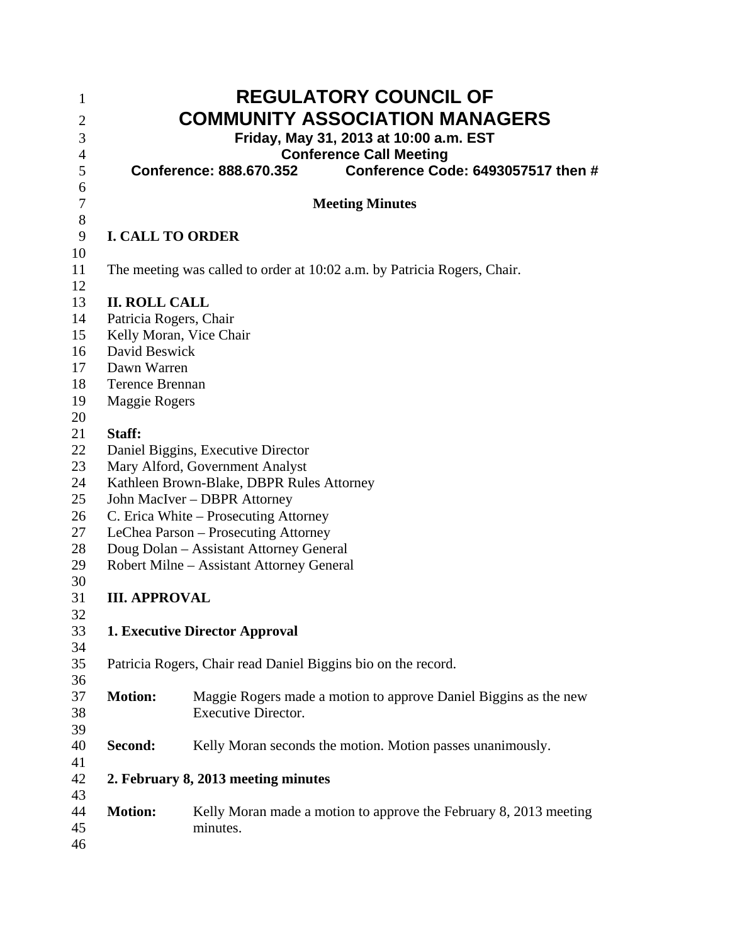| 1                |                                                                              | <b>REGULATORY COUNCIL OF</b>                                             |  |
|------------------|------------------------------------------------------------------------------|--------------------------------------------------------------------------|--|
| $\overline{c}$   |                                                                              | <b>COMMUNITY ASSOCIATION MANAGERS</b>                                    |  |
| $\mathfrak{Z}$   |                                                                              | Friday, May 31, 2013 at 10:00 a.m. EST                                   |  |
| $\overline{4}$   |                                                                              | <b>Conference Call Meeting</b>                                           |  |
| 5                |                                                                              | Conference Code: 6493057517 then #<br>Conference: 888.670.352            |  |
| 6                |                                                                              |                                                                          |  |
| $\boldsymbol{7}$ |                                                                              | <b>Meeting Minutes</b>                                                   |  |
| $8\,$            |                                                                              |                                                                          |  |
| 9<br>10          | <b>I. CALL TO ORDER</b>                                                      |                                                                          |  |
| 11               |                                                                              | The meeting was called to order at 10:02 a.m. by Patricia Rogers, Chair. |  |
| 12               |                                                                              |                                                                          |  |
| 13               | <b>II. ROLL CALL</b>                                                         |                                                                          |  |
| 14               | Patricia Rogers, Chair                                                       |                                                                          |  |
| 15               |                                                                              | Kelly Moran, Vice Chair                                                  |  |
| 16               | David Beswick                                                                |                                                                          |  |
| 17               | Dawn Warren                                                                  |                                                                          |  |
| 18               | <b>Terence Brennan</b>                                                       |                                                                          |  |
| 19               | <b>Maggie Rogers</b>                                                         |                                                                          |  |
| 20               |                                                                              |                                                                          |  |
| 21<br>22         | Staff:                                                                       |                                                                          |  |
| 23               |                                                                              | Daniel Biggins, Executive Director                                       |  |
| 24               | Mary Alford, Government Analyst<br>Kathleen Brown-Blake, DBPR Rules Attorney |                                                                          |  |
| 25               |                                                                              | John MacIver - DBPR Attorney                                             |  |
| 26               |                                                                              | C. Erica White – Prosecuting Attorney                                    |  |
| 27               |                                                                              | LeChea Parson - Prosecuting Attorney                                     |  |
| 28               |                                                                              | Doug Dolan - Assistant Attorney General                                  |  |
| 29               |                                                                              | Robert Milne - Assistant Attorney General                                |  |
| 30               |                                                                              |                                                                          |  |
| 31               | <b>III. APPROVAL</b>                                                         |                                                                          |  |
| 32               |                                                                              |                                                                          |  |
| 33<br>34         |                                                                              | 1. Executive Director Approval                                           |  |
| 35               |                                                                              | Patricia Rogers, Chair read Daniel Biggins bio on the record.            |  |
| 36               |                                                                              |                                                                          |  |
| 37               | <b>Motion:</b>                                                               | Maggie Rogers made a motion to approve Daniel Biggins as the new         |  |
| 38               |                                                                              | <b>Executive Director.</b>                                               |  |
| 39               |                                                                              |                                                                          |  |
| 40               | Second:                                                                      | Kelly Moran seconds the motion. Motion passes unanimously.               |  |
| 41               |                                                                              |                                                                          |  |
| 42               | 2. February 8, 2013 meeting minutes                                          |                                                                          |  |
| 43<br>44         | <b>Motion:</b>                                                               | Kelly Moran made a motion to approve the February 8, 2013 meeting        |  |
| 45               |                                                                              | minutes.                                                                 |  |
| 46               |                                                                              |                                                                          |  |
|                  |                                                                              |                                                                          |  |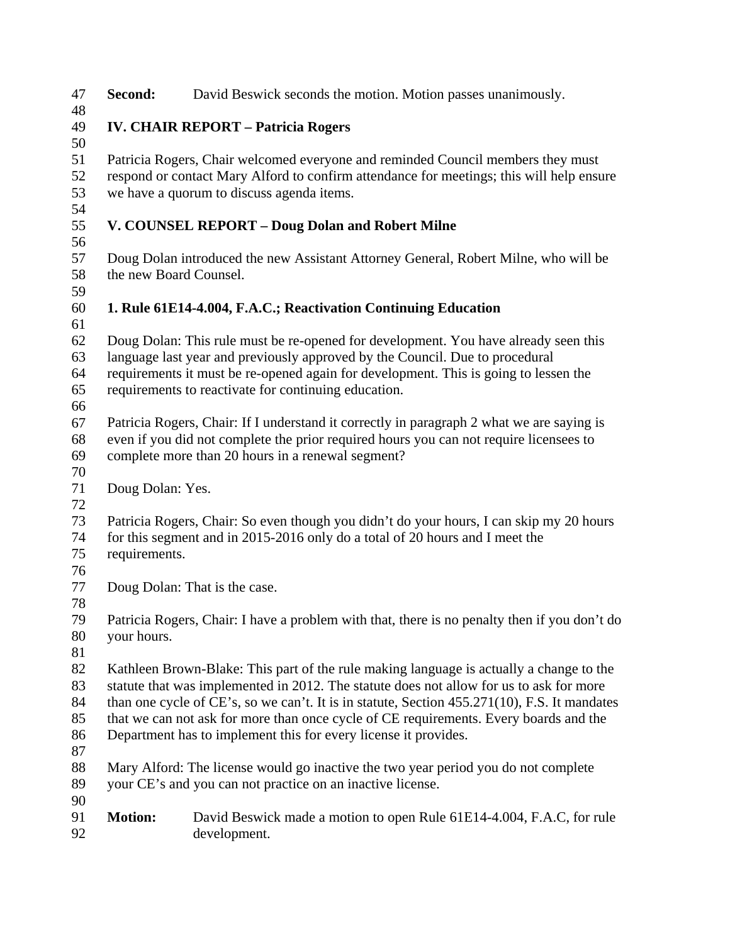| 47       | Second:                                                                                                                                                                               | David Beswick seconds the motion. Motion passes unanimously.                              |
|----------|---------------------------------------------------------------------------------------------------------------------------------------------------------------------------------------|-------------------------------------------------------------------------------------------|
| 48<br>49 |                                                                                                                                                                                       | <b>IV. CHAIR REPORT - Patricia Rogers</b>                                                 |
| 50       |                                                                                                                                                                                       |                                                                                           |
| 51       |                                                                                                                                                                                       | Patricia Rogers, Chair welcomed everyone and reminded Council members they must           |
| 52       |                                                                                                                                                                                       |                                                                                           |
| 53       | respond or contact Mary Alford to confirm attendance for meetings; this will help ensure<br>we have a quorum to discuss agenda items.                                                 |                                                                                           |
| 54       |                                                                                                                                                                                       |                                                                                           |
| 55       |                                                                                                                                                                                       | V. COUNSEL REPORT - Doug Dolan and Robert Milne                                           |
| 56       |                                                                                                                                                                                       |                                                                                           |
| 57       |                                                                                                                                                                                       | Doug Dolan introduced the new Assistant Attorney General, Robert Milne, who will be       |
| 58       | the new Board Counsel.                                                                                                                                                                |                                                                                           |
| 59       |                                                                                                                                                                                       |                                                                                           |
| 60       |                                                                                                                                                                                       | 1. Rule 61E14-4.004, F.A.C.; Reactivation Continuing Education                            |
| 61       |                                                                                                                                                                                       |                                                                                           |
| 62       |                                                                                                                                                                                       | Doug Dolan: This rule must be re-opened for development. You have already seen this       |
| 63       |                                                                                                                                                                                       | language last year and previously approved by the Council. Due to procedural              |
| 64       |                                                                                                                                                                                       | requirements it must be re-opened again for development. This is going to lessen the      |
| 65       |                                                                                                                                                                                       | requirements to reactivate for continuing education.                                      |
| 66       |                                                                                                                                                                                       |                                                                                           |
| 67       |                                                                                                                                                                                       | Patricia Rogers, Chair: If I understand it correctly in paragraph 2 what we are saying is |
| 68       |                                                                                                                                                                                       | even if you did not complete the prior required hours you can not require licensees to    |
| 69       |                                                                                                                                                                                       | complete more than 20 hours in a renewal segment?                                         |
| 70       |                                                                                                                                                                                       |                                                                                           |
| 71       | Doug Dolan: Yes.                                                                                                                                                                      |                                                                                           |
| 72       |                                                                                                                                                                                       |                                                                                           |
| 73       |                                                                                                                                                                                       | Patricia Rogers, Chair: So even though you didn't do your hours, I can skip my 20 hours   |
| 74       |                                                                                                                                                                                       | for this segment and in 2015-2016 only do a total of 20 hours and I meet the              |
| 75       | requirements.                                                                                                                                                                         |                                                                                           |
| 76       |                                                                                                                                                                                       |                                                                                           |
| 77       |                                                                                                                                                                                       | Doug Dolan: That is the case.                                                             |
| 78       |                                                                                                                                                                                       |                                                                                           |
| 79       | Patricia Rogers, Chair: I have a problem with that, there is no penalty then if you don't do                                                                                          |                                                                                           |
| 80<br>81 | your hours.                                                                                                                                                                           |                                                                                           |
| 82       |                                                                                                                                                                                       |                                                                                           |
| 83       | Kathleen Brown-Blake: This part of the rule making language is actually a change to the                                                                                               |                                                                                           |
| 84       | statute that was implemented in 2012. The statute does not allow for us to ask for more                                                                                               |                                                                                           |
| 85       | than one cycle of CE's, so we can't. It is in statute, Section 455.271(10), F.S. It mandates<br>that we can not ask for more than once cycle of CE requirements. Every boards and the |                                                                                           |
| 86       | Department has to implement this for every license it provides.                                                                                                                       |                                                                                           |
| 87       |                                                                                                                                                                                       |                                                                                           |
| 88       |                                                                                                                                                                                       | Mary Alford: The license would go inactive the two year period you do not complete        |
| 89       | your CE's and you can not practice on an inactive license.                                                                                                                            |                                                                                           |
| 90       |                                                                                                                                                                                       |                                                                                           |
| 91       | <b>Motion:</b>                                                                                                                                                                        | David Beswick made a motion to open Rule 61E14-4.004, F.A.C, for rule                     |
| 92       |                                                                                                                                                                                       | development.                                                                              |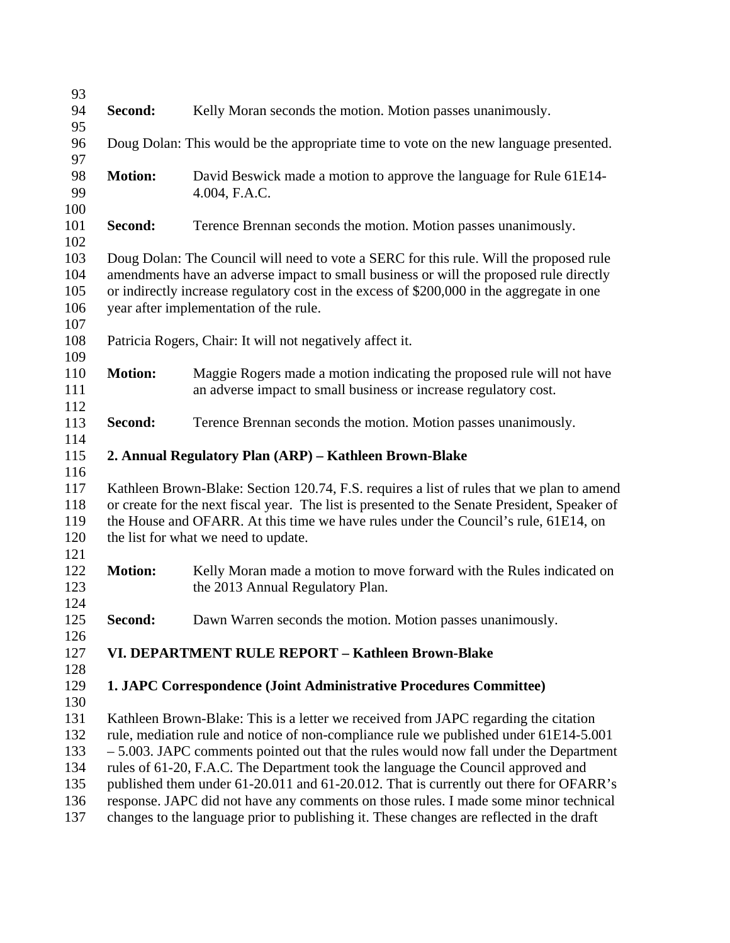| 93         |                                                                                                                                                                             |                                                                                                                                            |  |
|------------|-----------------------------------------------------------------------------------------------------------------------------------------------------------------------------|--------------------------------------------------------------------------------------------------------------------------------------------|--|
| 94         | Second:                                                                                                                                                                     | Kelly Moran seconds the motion. Motion passes unanimously.                                                                                 |  |
| 95         |                                                                                                                                                                             |                                                                                                                                            |  |
| 96         |                                                                                                                                                                             | Doug Dolan: This would be the appropriate time to vote on the new language presented.                                                      |  |
| 97         |                                                                                                                                                                             |                                                                                                                                            |  |
| 98<br>99   | <b>Motion:</b>                                                                                                                                                              | David Beswick made a motion to approve the language for Rule 61E14-<br>4.004, F.A.C.                                                       |  |
| 100        |                                                                                                                                                                             |                                                                                                                                            |  |
| 101        | Second:                                                                                                                                                                     | Terence Brennan seconds the motion. Motion passes unanimously.                                                                             |  |
| 102        |                                                                                                                                                                             |                                                                                                                                            |  |
| 103        |                                                                                                                                                                             | Doug Dolan: The Council will need to vote a SERC for this rule. Will the proposed rule                                                     |  |
| 104        |                                                                                                                                                                             | amendments have an adverse impact to small business or will the proposed rule directly                                                     |  |
| 105        |                                                                                                                                                                             | or indirectly increase regulatory cost in the excess of \$200,000 in the aggregate in one                                                  |  |
| 106        |                                                                                                                                                                             | year after implementation of the rule.                                                                                                     |  |
| 107        |                                                                                                                                                                             |                                                                                                                                            |  |
| 108        |                                                                                                                                                                             | Patricia Rogers, Chair: It will not negatively affect it.                                                                                  |  |
| 109<br>110 | <b>Motion:</b>                                                                                                                                                              |                                                                                                                                            |  |
| 111        |                                                                                                                                                                             | Maggie Rogers made a motion indicating the proposed rule will not have<br>an adverse impact to small business or increase regulatory cost. |  |
| 112        |                                                                                                                                                                             |                                                                                                                                            |  |
| 113        | Second:                                                                                                                                                                     | Terence Brennan seconds the motion. Motion passes unanimously.                                                                             |  |
| 114        |                                                                                                                                                                             |                                                                                                                                            |  |
| 115        |                                                                                                                                                                             | 2. Annual Regulatory Plan (ARP) - Kathleen Brown-Blake                                                                                     |  |
| 116        |                                                                                                                                                                             |                                                                                                                                            |  |
| 117        |                                                                                                                                                                             | Kathleen Brown-Blake: Section 120.74, F.S. requires a list of rules that we plan to amend                                                  |  |
| 118        | or create for the next fiscal year. The list is presented to the Senate President, Speaker of                                                                               |                                                                                                                                            |  |
| 119        | the House and OFARR. At this time we have rules under the Council's rule, 61E14, on                                                                                         |                                                                                                                                            |  |
| 120        |                                                                                                                                                                             | the list for what we need to update.                                                                                                       |  |
| 121<br>122 | <b>Motion:</b>                                                                                                                                                              | Kelly Moran made a motion to move forward with the Rules indicated on                                                                      |  |
| 123        |                                                                                                                                                                             | the 2013 Annual Regulatory Plan.                                                                                                           |  |
| 124        |                                                                                                                                                                             |                                                                                                                                            |  |
| 125        | Second:                                                                                                                                                                     | Dawn Warren seconds the motion. Motion passes unanimously.                                                                                 |  |
| 126        |                                                                                                                                                                             |                                                                                                                                            |  |
| 127        |                                                                                                                                                                             | VI. DEPARTMENT RULE REPORT - Kathleen Brown-Blake                                                                                          |  |
| 128        |                                                                                                                                                                             |                                                                                                                                            |  |
| 129        |                                                                                                                                                                             | 1. JAPC Correspondence (Joint Administrative Procedures Committee)                                                                         |  |
| 130        |                                                                                                                                                                             |                                                                                                                                            |  |
| 131        | Kathleen Brown-Blake: This is a letter we received from JAPC regarding the citation                                                                                         |                                                                                                                                            |  |
| 132<br>133 | rule, mediation rule and notice of non-compliance rule we published under 61E14-5.001                                                                                       |                                                                                                                                            |  |
| 134        | $-5.003$ . JAPC comments pointed out that the rules would now fall under the Department<br>rules of 61-20, F.A.C. The Department took the language the Council approved and |                                                                                                                                            |  |
| 135        | published them under 61-20.011 and 61-20.012. That is currently out there for OFARR's                                                                                       |                                                                                                                                            |  |
| 136        | response. JAPC did not have any comments on those rules. I made some minor technical                                                                                        |                                                                                                                                            |  |
| 137        | changes to the language prior to publishing it. These changes are reflected in the draft                                                                                    |                                                                                                                                            |  |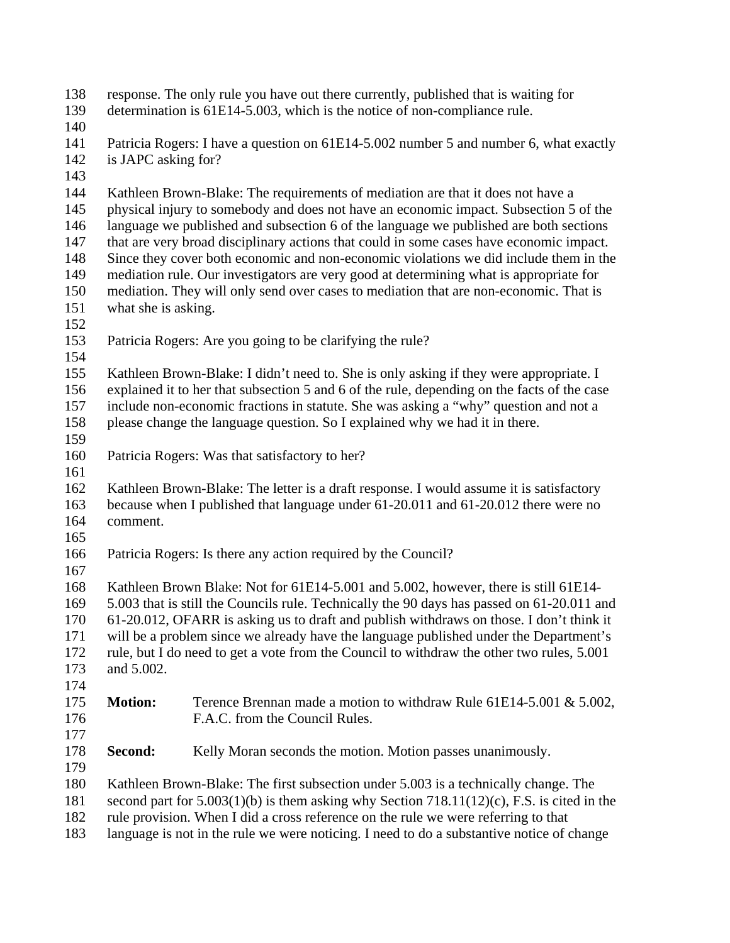- response. The only rule you have out there currently, published that is waiting for 138
- determination is 61E14-5.003, which is the notice of non-compliance rule. 139
- 140
- 141 142 Patricia Rogers: I have a question on 61E14-5.002 number 5 and number 6, what exactly is JAPC asking for?
- 143

144 145 146 147 148 149 150 Kathleen Brown-Blake: The requirements of mediation are that it does not have a physical injury to somebody and does not have an economic impact. Subsection 5 of the language we published and subsection 6 of the language we published are both sections that are very broad disciplinary actions that could in some cases have economic impact. Since they cover both economic and non-economic violations we did include them in the mediation rule. Our investigators are very good at determining what is appropriate for mediation. They will only send over cases to mediation that are non-economic. That is

151

what she is asking.

- 152
- 153 Patricia Rogers: Are you going to be clarifying the rule?
- 154

155 156 157 158 Kathleen Brown-Blake: I didn't need to. She is only asking if they were appropriate. I explained it to her that subsection 5 and 6 of the rule, depending on the facts of the case include non-economic fractions in statute. She was asking a "why" question and not a please change the language question. So I explained why we had it in there.

- 159
- 160 Patricia Rogers: Was that satisfactory to her?
- 161

162 163 164 Kathleen Brown-Blake: The letter is a draft response. I would assume it is satisfactory because when I published that language under 61-20.011 and 61-20.012 there were no comment.

- 165
- 166 Patricia Rogers: Is there any action required by the Council?
- 167

168 169 170 Kathleen Brown Blake: Not for 61E14-5.001 and 5.002, however, there is still 61E14- 5.003 that is still the Councils rule. Technically the 90 days has passed on 61-20.011 and 61-20.012, OFARR is asking us to draft and publish withdraws on those. I don't think it

171 172 173 will be a problem since we already have the language published under the Department's rule, but I do need to get a vote from the Council to withdraw the other two rules, 5.001 and 5.002.

174

#### 175 176 **Motion:** Terence Brennan made a motion to withdraw Rule 61E14-5.001 & 5.002, F.A.C. from the Council Rules.

177

178 **Second:** Kelly Moran seconds the motion. Motion passes unanimously.

179

180 Kathleen Brown-Blake: The first subsection under 5.003 is a technically change. The

181 second part for  $5.003(1)(b)$  is them asking why Section  $718.11(12)(c)$ , F.S. is cited in the

182 rule provision. When I did a cross reference on the rule we were referring to that

183 language is not in the rule we were noticing. I need to do a substantive notice of change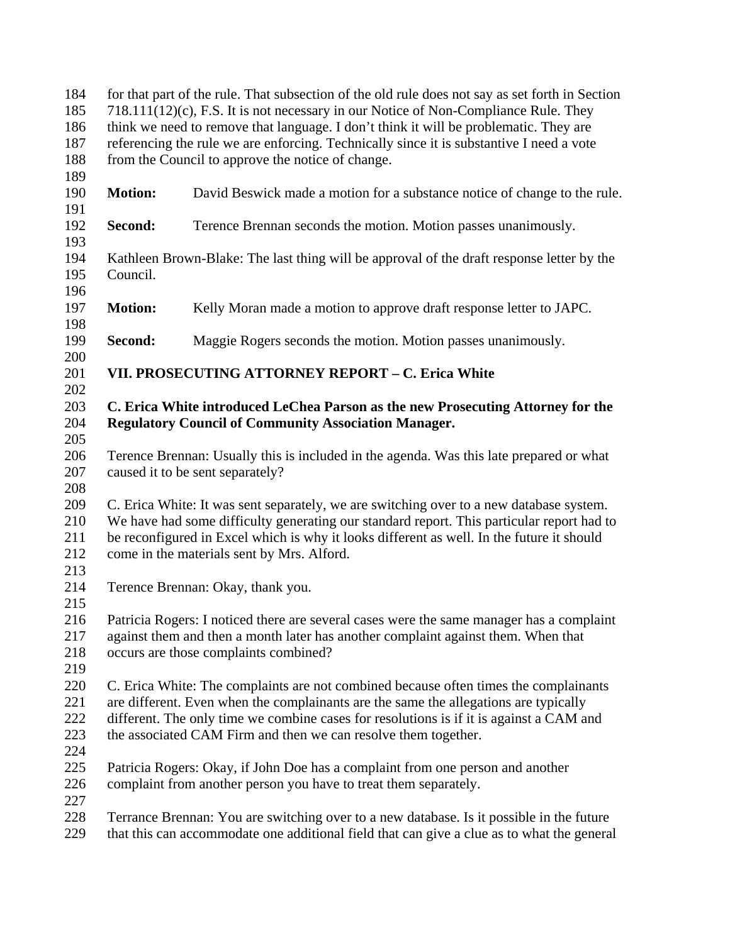| 184 | for that part of the rule. That subsection of the old rule does not say as set forth in Section |                                                                                           |  |
|-----|-------------------------------------------------------------------------------------------------|-------------------------------------------------------------------------------------------|--|
| 185 | 718.111(12)(c), F.S. It is not necessary in our Notice of Non-Compliance Rule. They             |                                                                                           |  |
| 186 | think we need to remove that language. I don't think it will be problematic. They are           |                                                                                           |  |
| 187 | referencing the rule we are enforcing. Technically since it is substantive I need a vote        |                                                                                           |  |
| 188 |                                                                                                 | from the Council to approve the notice of change.                                         |  |
| 189 |                                                                                                 |                                                                                           |  |
| 190 | <b>Motion:</b>                                                                                  | David Beswick made a motion for a substance notice of change to the rule.                 |  |
| 191 |                                                                                                 |                                                                                           |  |
| 192 | Second:                                                                                         | Terence Brennan seconds the motion. Motion passes unanimously.                            |  |
| 193 |                                                                                                 |                                                                                           |  |
| 194 |                                                                                                 | Kathleen Brown-Blake: The last thing will be approval of the draft response letter by the |  |
| 195 | Council.                                                                                        |                                                                                           |  |
| 196 |                                                                                                 |                                                                                           |  |
| 197 | <b>Motion:</b>                                                                                  | Kelly Moran made a motion to approve draft response letter to JAPC.                       |  |
| 198 |                                                                                                 |                                                                                           |  |
| 199 | Second:                                                                                         | Maggie Rogers seconds the motion. Motion passes unanimously.                              |  |
| 200 |                                                                                                 |                                                                                           |  |
| 201 |                                                                                                 | VII. PROSECUTING ATTORNEY REPORT - C. Erica White                                         |  |
| 202 |                                                                                                 |                                                                                           |  |
| 203 |                                                                                                 | C. Erica White introduced LeChea Parson as the new Prosecuting Attorney for the           |  |
| 204 |                                                                                                 | <b>Regulatory Council of Community Association Manager.</b>                               |  |
| 205 |                                                                                                 |                                                                                           |  |
| 206 |                                                                                                 | Terence Brennan: Usually this is included in the agenda. Was this late prepared or what   |  |
|     |                                                                                                 |                                                                                           |  |
| 207 |                                                                                                 | caused it to be sent separately?                                                          |  |
| 208 |                                                                                                 |                                                                                           |  |
| 209 |                                                                                                 | C. Erica White: It was sent separately, we are switching over to a new database system.   |  |
| 210 |                                                                                                 | We have had some difficulty generating our standard report. This particular report had to |  |
| 211 |                                                                                                 | be reconfigured in Excel which is why it looks different as well. In the future it should |  |
| 212 |                                                                                                 | come in the materials sent by Mrs. Alford.                                                |  |
| 213 |                                                                                                 |                                                                                           |  |
| 214 |                                                                                                 | Terence Brennan: Okay, thank you.                                                         |  |
| 215 |                                                                                                 |                                                                                           |  |
| 216 | Patricia Rogers: I noticed there are several cases were the same manager has a complaint        |                                                                                           |  |
| 217 | against them and then a month later has another complaint against them. When that               |                                                                                           |  |
| 218 |                                                                                                 | occurs are those complaints combined?                                                     |  |
| 219 |                                                                                                 |                                                                                           |  |
| 220 |                                                                                                 | C. Erica White: The complaints are not combined because often times the complainants      |  |
| 221 | are different. Even when the complainants are the same the allegations are typically            |                                                                                           |  |
| 222 | different. The only time we combine cases for resolutions is if it is against a CAM and         |                                                                                           |  |
| 223 |                                                                                                 | the associated CAM Firm and then we can resolve them together.                            |  |
| 224 |                                                                                                 |                                                                                           |  |
| 225 | Patricia Rogers: Okay, if John Doe has a complaint from one person and another                  |                                                                                           |  |
| 226 |                                                                                                 | complaint from another person you have to treat them separately.                          |  |
| 227 |                                                                                                 |                                                                                           |  |
| 228 |                                                                                                 | Terrance Brennan: You are switching over to a new database. Is it possible in the future  |  |
| 229 | that this can accommodate one additional field that can give a clue as to what the general      |                                                                                           |  |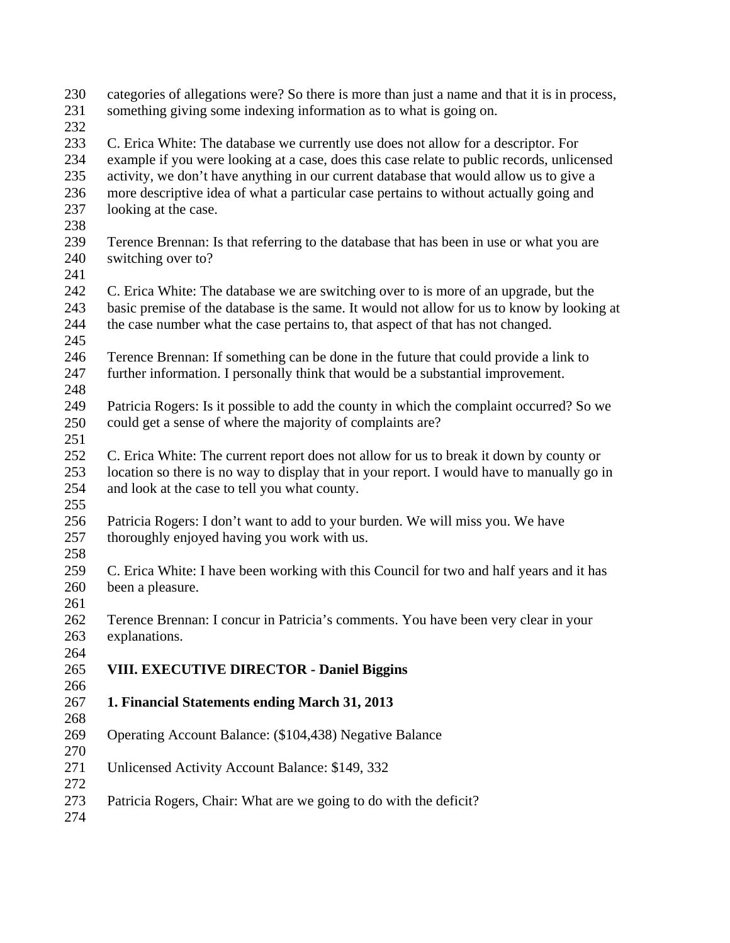233 234 235 236 237 238 239 240 241 242 243 244 245 246 247 248 249 250 251 252 253 254 255 256 257 258 259 260 261 262 263 264 265 266 267 268 269 C. Erica White: The database we currently use does not allow for a descriptor. For example if you were looking at a case, does this case relate to public records, unlicensed activity, we don't have anything in our current database that would allow us to give a more descriptive idea of what a particular case pertains to without actually going and looking at the case. Terence Brennan: Is that referring to the database that has been in use or what you are switching over to? C. Erica White: The database we are switching over to is more of an upgrade, but the basic premise of the database is the same. It would not allow for us to know by looking at the case number what the case pertains to, that aspect of that has not changed. Terence Brennan: If something can be done in the future that could provide a link to further information. I personally think that would be a substantial improvement. Patricia Rogers: Is it possible to add the county in which the complaint occurred? So we could get a sense of where the majority of complaints are? C. Erica White: The current report does not allow for us to break it down by county or location so there is no way to display that in your report. I would have to manually go in and look at the case to tell you what county. Patricia Rogers: I don't want to add to your burden. We will miss you. We have thoroughly enjoyed having you work with us. C. Erica White: I have been working with this Council for two and half years and it has been a pleasure. Terence Brennan: I concur in Patricia's comments. You have been very clear in your explanations. **VIII. EXECUTIVE DIRECTOR - Daniel Biggins 1. Financial Statements ending March 31, 2013**  Operating Account Balance: (\$104,438) Negative Balance

categories of allegations were? So there is more than just a name and that it is in process,

something giving some indexing information as to what is going on.

270

230 231 232

- 271 272 Unlicensed Activity Account Balance: \$149, 332
- 273 Patricia Rogers, Chair: What are we going to do with the deficit?
- 274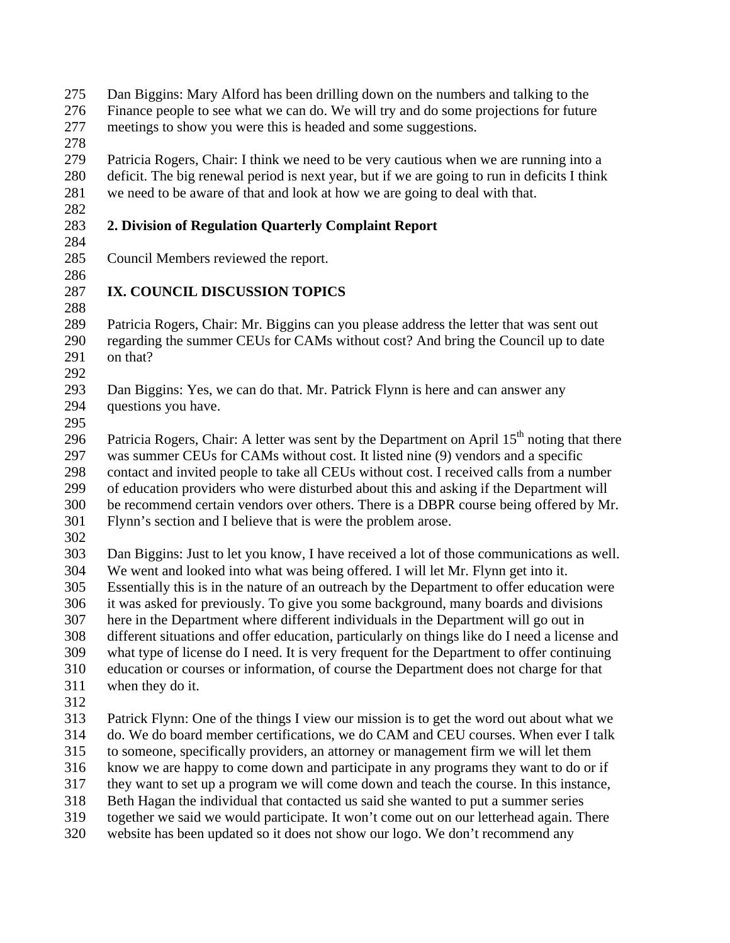- Dan Biggins: Mary Alford has been drilling down on the numbers and talking to the Finance people to see what we can do. We will try and do some projections for future meetings to show you were this is headed and some suggestions. 275 276 277
- 278

282

284

279 280 281 Patricia Rogers, Chair: I think we need to be very cautious when we are running into a deficit. The big renewal period is next year, but if we are going to run in deficits I think we need to be aware of that and look at how we are going to deal with that.

### 283 **2. Division of Regulation Quarterly Complaint Report**

- 285 Council Members reviewed the report.
- 286

## 287 288 **IX. COUNCIL DISCUSSION TOPICS**

289 290 291 Patricia Rogers, Chair: Mr. Biggins can you please address the letter that was sent out regarding the summer CEUs for CAMs without cost? And bring the Council up to date on that?

292

293 294 Dan Biggins: Yes, we can do that. Mr. Patrick Flynn is here and can answer any questions you have.

295

296 297 298 299 300 301 Patricia Rogers, Chair: A letter was sent by the Department on April  $15<sup>th</sup>$  noting that there was summer CEUs for CAMs without cost. It listed nine (9) vendors and a specific contact and invited people to take all CEUs without cost. I received calls from a number of education providers who were disturbed about this and asking if the Department will be recommend certain vendors over others. There is a DBPR course being offered by Mr. Flynn's section and I believe that is were the problem arose.

302

303 304 305 306 307 308 309 310 311 Dan Biggins: Just to let you know, I have received a lot of those communications as well. We went and looked into what was being offered. I will let Mr. Flynn get into it. Essentially this is in the nature of an outreach by the Department to offer education were it was asked for previously. To give you some background, many boards and divisions here in the Department where different individuals in the Department will go out in different situations and offer education, particularly on things like do I need a license and what type of license do I need. It is very frequent for the Department to offer continuing education or courses or information, of course the Department does not charge for that when they do it.

312

313 314 315 316 317 318 319 320 Patrick Flynn: One of the things I view our mission is to get the word out about what we do. We do board member certifications, we do CAM and CEU courses. When ever I talk to someone, specifically providers, an attorney or management firm we will let them know we are happy to come down and participate in any programs they want to do or if they want to set up a program we will come down and teach the course. In this instance, Beth Hagan the individual that contacted us said she wanted to put a summer series together we said we would participate. It won't come out on our letterhead again. There website has been updated so it does not show our logo. We don't recommend any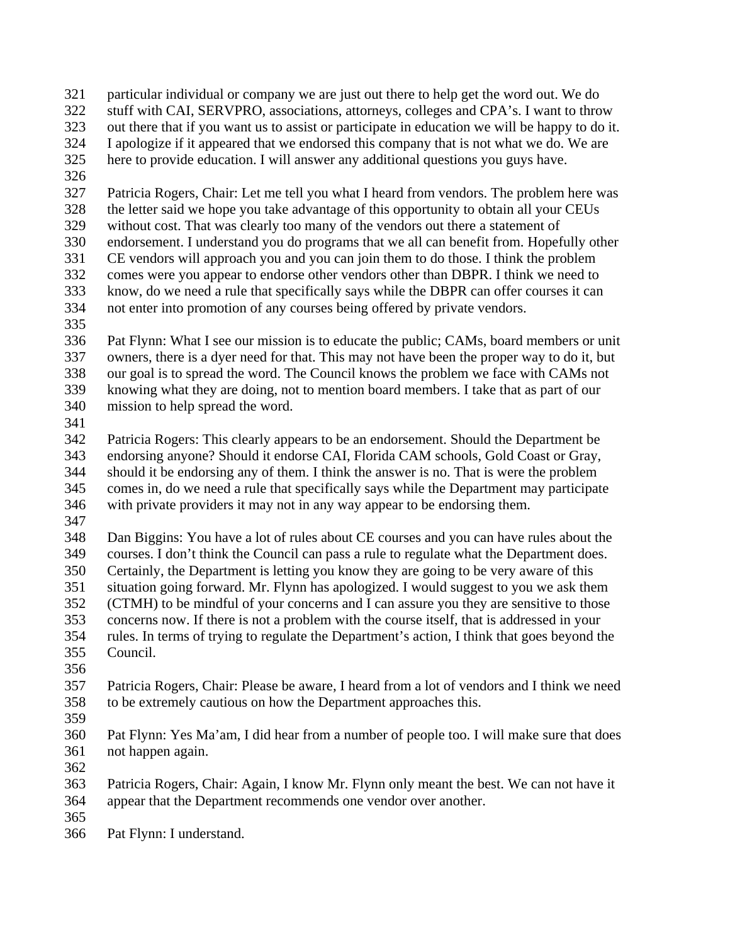- particular individual or company we are just out there to help get the word out. We do 321
- stuff with CAI, SERVPRO, associations, attorneys, colleges and CPA's. I want to throw 322
- out there that if you want us to assist or participate in education we will be happy to do it. 323
- I apologize if it appeared that we endorsed this company that is not what we do. We are 324
- here to provide education. I will answer any additional questions you guys have. 325
- 326

327 328 329 330 331 332 333 334 Patricia Rogers, Chair: Let me tell you what I heard from vendors. The problem here was the letter said we hope you take advantage of this opportunity to obtain all your CEUs without cost. That was clearly too many of the vendors out there a statement of endorsement. I understand you do programs that we all can benefit from. Hopefully other CE vendors will approach you and you can join them to do those. I think the problem comes were you appear to endorse other vendors other than DBPR. I think we need to know, do we need a rule that specifically says while the DBPR can offer courses it can not enter into promotion of any courses being offered by private vendors.

335

336 337 338 339 340 Pat Flynn: What I see our mission is to educate the public; CAMs, board members or unit owners, there is a dyer need for that. This may not have been the proper way to do it, but our goal is to spread the word. The Council knows the problem we face with CAMs not knowing what they are doing, not to mention board members. I take that as part of our mission to help spread the word.

341

342 343 344 345 346 Patricia Rogers: This clearly appears to be an endorsement. Should the Department be endorsing anyone? Should it endorse CAI, Florida CAM schools, Gold Coast or Gray, should it be endorsing any of them. I think the answer is no. That is were the problem comes in, do we need a rule that specifically says while the Department may participate with private providers it may not in any way appear to be endorsing them.

347

348 349 350 351 352 353 354 Dan Biggins: You have a lot of rules about CE courses and you can have rules about the courses. I don't think the Council can pass a rule to regulate what the Department does. Certainly, the Department is letting you know they are going to be very aware of this situation going forward. Mr. Flynn has apologized. I would suggest to you we ask them (CTMH) to be mindful of your concerns and I can assure you they are sensitive to those concerns now. If there is not a problem with the course itself, that is addressed in your rules. In terms of trying to regulate the Department's action, I think that goes beyond the Council.

355 356

357 358 Patricia Rogers, Chair: Please be aware, I heard from a lot of vendors and I think we need to be extremely cautious on how the Department approaches this.

359

360 361 Pat Flynn: Yes Ma'am, I did hear from a number of people too. I will make sure that does not happen again.

362

363 364 Patricia Rogers, Chair: Again, I know Mr. Flynn only meant the best. We can not have it appear that the Department recommends one vendor over another.

365

366 Pat Flynn: I understand.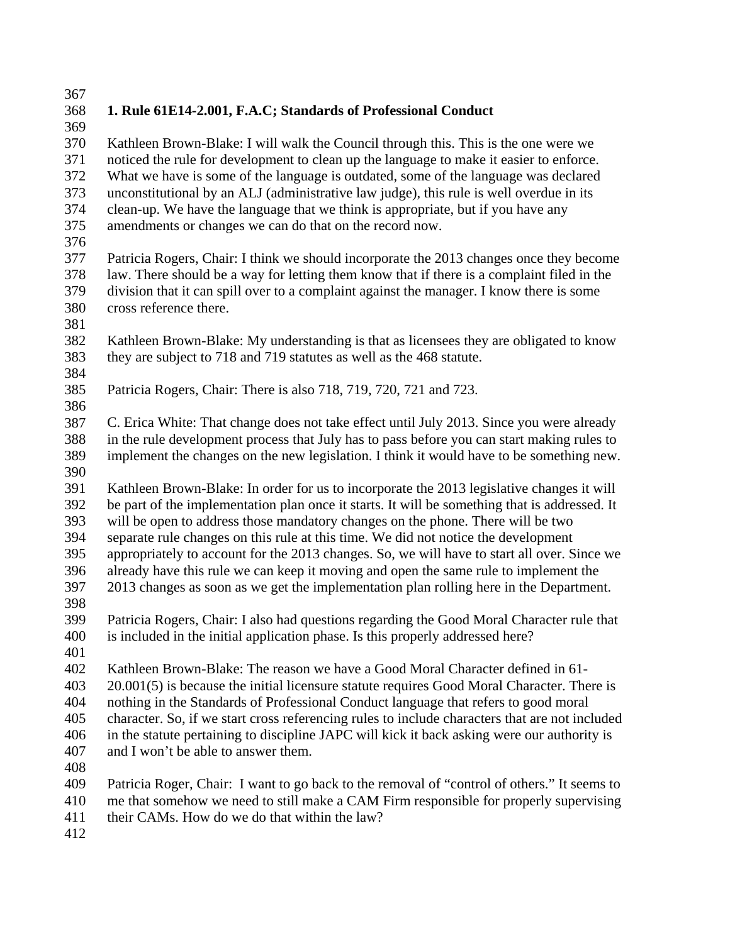# 367

### 368 **1. Rule 61E14-2.001, F.A.C; Standards of Professional Conduct**

369 370 371 372 373 374 375 Kathleen Brown-Blake: I will walk the Council through this. This is the one were we noticed the rule for development to clean up the language to make it easier to enforce. What we have is some of the language is outdated, some of the language was declared unconstitutional by an ALJ (administrative law judge), this rule is well overdue in its clean-up. We have the language that we think is appropriate, but if you have any amendments or changes we can do that on the record now.

376

377 378 379 380 Patricia Rogers, Chair: I think we should incorporate the 2013 changes once they become law. There should be a way for letting them know that if there is a complaint filed in the division that it can spill over to a complaint against the manager. I know there is some cross reference there.

- 382 383 Kathleen Brown-Blake: My understanding is that as licensees they are obligated to know they are subject to 718 and 719 statutes as well as the 468 statute.
- 384

381

385 386 Patricia Rogers, Chair: There is also 718, 719, 720, 721 and 723.

387 388 389 390 C. Erica White: That change does not take effect until July 2013. Since you were already in the rule development process that July has to pass before you can start making rules to implement the changes on the new legislation. I think it would have to be something new.

391 392 393 394 395 396 Kathleen Brown-Blake: In order for us to incorporate the 2013 legislative changes it will be part of the implementation plan once it starts. It will be something that is addressed. It will be open to address those mandatory changes on the phone. There will be two separate rule changes on this rule at this time. We did not notice the development appropriately to account for the 2013 changes. So, we will have to start all over. Since we already have this rule we can keep it moving and open the same rule to implement the 2013 changes as soon as we get the implementation plan rolling here in the Department.

397 398

399 400 Patricia Rogers, Chair: I also had questions regarding the Good Moral Character rule that is included in the initial application phase. Is this properly addressed here?

401

402 403 404 Kathleen Brown-Blake: The reason we have a Good Moral Character defined in 61- 20.001(5) is because the initial licensure statute requires Good Moral Character. There is nothing in the Standards of Professional Conduct language that refers to good moral

405 character. So, if we start cross referencing rules to include characters that are not included

406 in the statute pertaining to discipline JAPC will kick it back asking were our authority is

- 407 and I won't be able to answer them.
- 408

409 410 Patricia Roger, Chair: I want to go back to the removal of "control of others." It seems to me that somehow we need to still make a CAM Firm responsible for properly supervising

- 411 their CAMs. How do we do that within the law?
- 412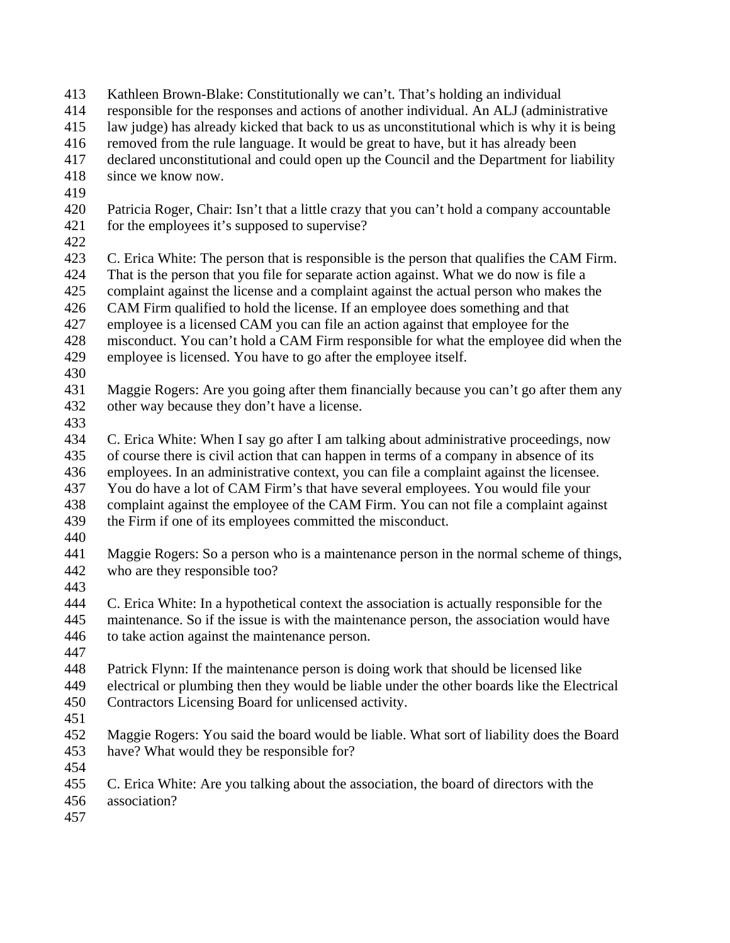- Kathleen Brown-Blake: Constitutionally we can't. That's holding an individual 413
- responsible for the responses and actions of another individual. An ALJ (administrative 414
- law judge) has already kicked that back to us as unconstitutional which is why it is being 415
- removed from the rule language. It would be great to have, but it has already been 416
- declared unconstitutional and could open up the Council and the Department for liability 417
- since we know now. 418
- 419
- 420 421 Patricia Roger, Chair: Isn't that a little crazy that you can't hold a company accountable for the employees it's supposed to supervise?
- 422
- 423 424 C. Erica White: The person that is responsible is the person that qualifies the CAM Firm. That is the person that you file for separate action against. What we do now is file a
- 425 complaint against the license and a complaint against the actual person who makes the
- 426 CAM Firm qualified to hold the license. If an employee does something and that
- 427 employee is a licensed CAM you can file an action against that employee for the
- 428 misconduct. You can't hold a CAM Firm responsible for what the employee did when the
- 429 employee is licensed. You have to go after the employee itself.
- 430
- 431 432 Maggie Rogers: Are you going after them financially because you can't go after them any other way because they don't have a license.
- 433
- 434 435 436 437 438 C. Erica White: When I say go after I am talking about administrative proceedings, now of course there is civil action that can happen in terms of a company in absence of its employees. In an administrative context, you can file a complaint against the licensee. You do have a lot of CAM Firm's that have several employees. You would file your complaint against the employee of the CAM Firm. You can not file a complaint against
- 439 the Firm if one of its employees committed the misconduct.
- 440
- 441 442 Maggie Rogers: So a person who is a maintenance person in the normal scheme of things, who are they responsible too?
- 443
- 444 445 446 C. Erica White: In a hypothetical context the association is actually responsible for the maintenance. So if the issue is with the maintenance person, the association would have to take action against the maintenance person.
- 447
- 448 Patrick Flynn: If the maintenance person is doing work that should be licensed like
- 449 450 electrical or plumbing then they would be liable under the other boards like the Electrical Contractors Licensing Board for unlicensed activity.
- 451
- 452 453 Maggie Rogers: You said the board would be liable. What sort of liability does the Board have? What would they be responsible for?
- 454
- 455 C. Erica White: Are you talking about the association, the board of directors with the
- 456 association?
- 457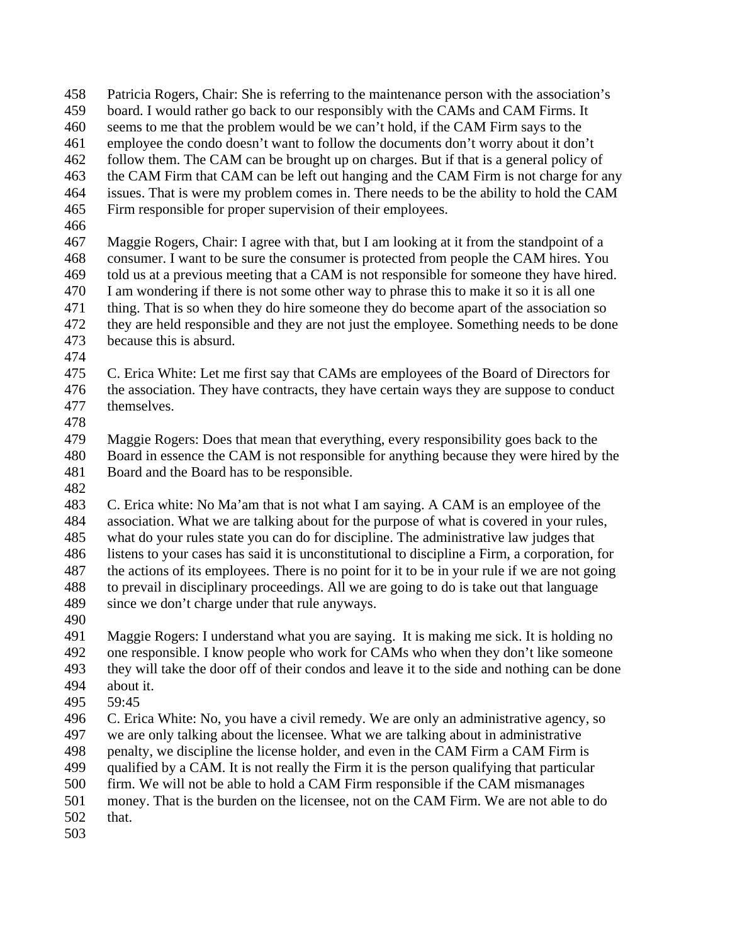- Patricia Rogers, Chair: She is referring to the maintenance person with the association's 458
- board. I would rather go back to our responsibly with the CAMs and CAM Firms. It 459
- seems to me that the problem would be we can't hold, if the CAM Firm says to the 460
- employee the condo doesn't want to follow the documents don't worry about it don't 461
- follow them. The CAM can be brought up on charges. But if that is a general policy of 462
- the CAM Firm that CAM can be left out hanging and the CAM Firm is not charge for any 463
- issues. That is were my problem comes in. There needs to be the ability to hold the CAM Firm responsible for proper supervision of their employees. 464 465
- 466
- 467 468 469 470 471 472 473 Maggie Rogers, Chair: I agree with that, but I am looking at it from the standpoint of a consumer. I want to be sure the consumer is protected from people the CAM hires. You told us at a previous meeting that a CAM is not responsible for someone they have hired. I am wondering if there is not some other way to phrase this to make it so it is all one thing. That is so when they do hire someone they do become apart of the association so they are held responsible and they are not just the employee. Something needs to be done because this is absurd.
- 474
- 475 476 477 C. Erica White: Let me first say that CAMs are employees of the Board of Directors for the association. They have contracts, they have certain ways they are suppose to conduct themselves.
- 478

479 480 481 Maggie Rogers: Does that mean that everything, every responsibility goes back to the Board in essence the CAM is not responsible for anything because they were hired by the Board and the Board has to be responsible.

482

483 484 485 486 487 488 489 C. Erica white: No Ma'am that is not what I am saying. A CAM is an employee of the association. What we are talking about for the purpose of what is covered in your rules, what do your rules state you can do for discipline. The administrative law judges that listens to your cases has said it is unconstitutional to discipline a Firm, a corporation, for the actions of its employees. There is no point for it to be in your rule if we are not going to prevail in disciplinary proceedings. All we are going to do is take out that language since we don't charge under that rule anyways.

490

491 492 493 494 Maggie Rogers: I understand what you are saying. It is making me sick. It is holding no one responsible. I know people who work for CAMs who when they don't like someone they will take the door off of their condos and leave it to the side and nothing can be done about it.

495 59:45

496 497 C. Erica White: No, you have a civil remedy. We are only an administrative agency, so we are only talking about the licensee. What we are talking about in administrative

- 498 penalty, we discipline the license holder, and even in the CAM Firm a CAM Firm is
- 499 qualified by a CAM. It is not really the Firm it is the person qualifying that particular
- 500 firm. We will not be able to hold a CAM Firm responsible if the CAM mismanages
- 501 money. That is the burden on the licensee, not on the CAM Firm. We are not able to do
- 502 that.
- 503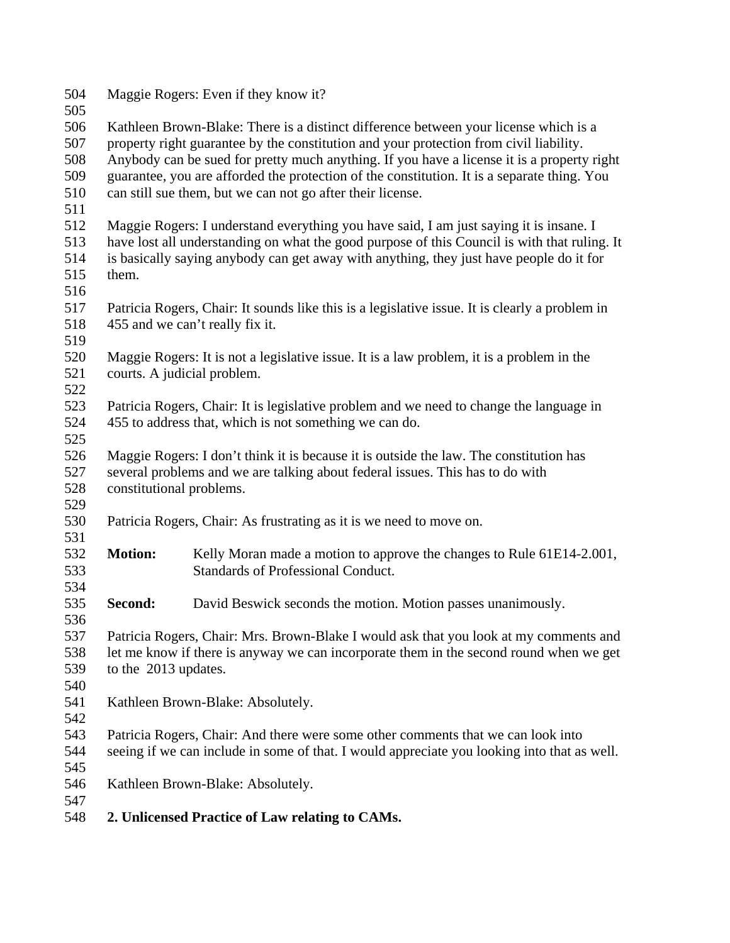| 504<br>505 | Maggie Rogers: Even if they know it?                                                         |                                                                                                |  |
|------------|----------------------------------------------------------------------------------------------|------------------------------------------------------------------------------------------------|--|
| 506        | Kathleen Brown-Blake: There is a distinct difference between your license which is a         |                                                                                                |  |
| 507        |                                                                                              | property right guarantee by the constitution and your protection from civil liability.         |  |
| 508        | Anybody can be sued for pretty much anything. If you have a license it is a property right   |                                                                                                |  |
| 509        | guarantee, you are afforded the protection of the constitution. It is a separate thing. You  |                                                                                                |  |
| 510        | can still sue them, but we can not go after their license.                                   |                                                                                                |  |
| 511        |                                                                                              |                                                                                                |  |
| 512        | Maggie Rogers: I understand everything you have said, I am just saying it is insane. I       |                                                                                                |  |
| 513        | have lost all understanding on what the good purpose of this Council is with that ruling. It |                                                                                                |  |
| 514        | is basically saying anybody can get away with anything, they just have people do it for      |                                                                                                |  |
| 515        | them.                                                                                        |                                                                                                |  |
| 516        |                                                                                              |                                                                                                |  |
| 517        |                                                                                              | Patricia Rogers, Chair: It sounds like this is a legislative issue. It is clearly a problem in |  |
| 518        |                                                                                              | 455 and we can't really fix it.                                                                |  |
| 519        |                                                                                              |                                                                                                |  |
| 520        | Maggie Rogers: It is not a legislative issue. It is a law problem, it is a problem in the    |                                                                                                |  |
| 521        |                                                                                              | courts. A judicial problem.                                                                    |  |
| 522        |                                                                                              |                                                                                                |  |
| 523        | Patricia Rogers, Chair: It is legislative problem and we need to change the language in      |                                                                                                |  |
| 524        | 455 to address that, which is not something we can do.                                       |                                                                                                |  |
| 525        |                                                                                              |                                                                                                |  |
| 526        |                                                                                              | Maggie Rogers: I don't think it is because it is outside the law. The constitution has         |  |
| 527        |                                                                                              | several problems and we are talking about federal issues. This has to do with                  |  |
| 528        | constitutional problems.                                                                     |                                                                                                |  |
| 529        |                                                                                              |                                                                                                |  |
| 530        |                                                                                              | Patricia Rogers, Chair: As frustrating as it is we need to move on.                            |  |
| 531        |                                                                                              |                                                                                                |  |
| 532        | <b>Motion:</b>                                                                               | Kelly Moran made a motion to approve the changes to Rule 61E14-2.001,                          |  |
| 533        |                                                                                              | <b>Standards of Professional Conduct.</b>                                                      |  |
| 534        |                                                                                              |                                                                                                |  |
| 535        | Second:                                                                                      | David Beswick seconds the motion. Motion passes unanimously.                                   |  |
| 536        |                                                                                              |                                                                                                |  |
| 537        |                                                                                              | Patricia Rogers, Chair: Mrs. Brown-Blake I would ask that you look at my comments and          |  |
| 538        | let me know if there is anyway we can incorporate them in the second round when we get       |                                                                                                |  |
| 539        | to the 2013 updates.                                                                         |                                                                                                |  |
| 540        |                                                                                              |                                                                                                |  |
| 541        | Kathleen Brown-Blake: Absolutely.                                                            |                                                                                                |  |
| 542        |                                                                                              |                                                                                                |  |
| 543        | Patricia Rogers, Chair: And there were some other comments that we can look into             |                                                                                                |  |
| 544        | seeing if we can include in some of that. I would appreciate you looking into that as well.  |                                                                                                |  |
| 545        |                                                                                              |                                                                                                |  |
| 546        | Kathleen Brown-Blake: Absolutely.                                                            |                                                                                                |  |
| 547        |                                                                                              |                                                                                                |  |
| 548        |                                                                                              | 2. Unlicensed Practice of Law relating to CAMs.                                                |  |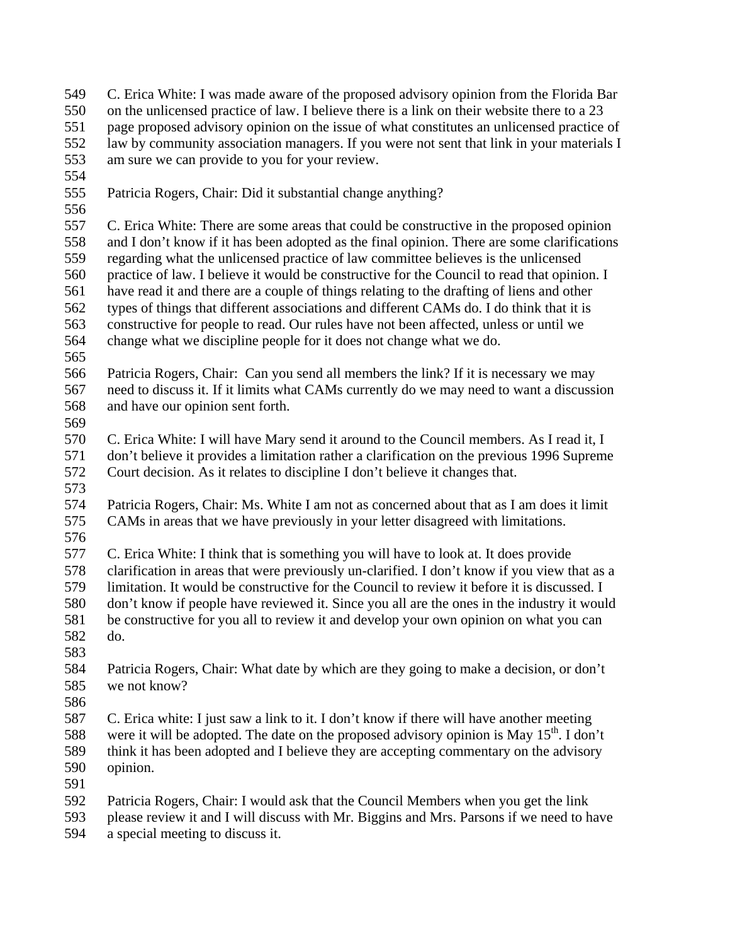- C. Erica White: I was made aware of the proposed advisory opinion from the Florida Bar on the unlicensed practice of law. I believe there is a link on their website there to a 23 page proposed advisory opinion on the issue of what constitutes an unlicensed practice of law by community association managers. If you were not sent that link in your materials I am sure we can provide to you for your review. 549 550 551 552 553
- 554
- 555 Patricia Rogers, Chair: Did it substantial change anything?
- 556 557 558 559 560 561 562 563 564 C. Erica White: There are some areas that could be constructive in the proposed opinion and I don't know if it has been adopted as the final opinion. There are some clarifications regarding what the unlicensed practice of law committee believes is the unlicensed practice of law. I believe it would be constructive for the Council to read that opinion. I have read it and there are a couple of things relating to the drafting of liens and other types of things that different associations and different CAMs do. I do think that it is constructive for people to read. Our rules have not been affected, unless or until we change what we discipline people for it does not change what we do.
- 565
- 566 567 568 Patricia Rogers, Chair: Can you send all members the link? If it is necessary we may need to discuss it. If it limits what CAMs currently do we may need to want a discussion and have our opinion sent forth.
- 569

570 571 572 C. Erica White: I will have Mary send it around to the Council members. As I read it, I don't believe it provides a limitation rather a clarification on the previous 1996 Supreme Court decision. As it relates to discipline I don't believe it changes that.

- 573
- 574 575 Patricia Rogers, Chair: Ms. White I am not as concerned about that as I am does it limit CAMs in areas that we have previously in your letter disagreed with limitations.
- 576

577 578 579 580 581 582 C. Erica White: I think that is something you will have to look at. It does provide clarification in areas that were previously un-clarified. I don't know if you view that as a limitation. It would be constructive for the Council to review it before it is discussed. I don't know if people have reviewed it. Since you all are the ones in the industry it would be constructive for you all to review it and develop your own opinion on what you can do.

583

584 585 Patricia Rogers, Chair: What date by which are they going to make a decision, or don't we not know?

586

587 588 589 590 C. Erica white: I just saw a link to it. I don't know if there will have another meeting were it will be adopted. The date on the proposed advisory opinion is May  $15<sup>th</sup>$ . I don't think it has been adopted and I believe they are accepting commentary on the advisory opinion.

- 591
- 592 Patricia Rogers, Chair: I would ask that the Council Members when you get the link
- 593 594 please review it and I will discuss with Mr. Biggins and Mrs. Parsons if we need to have a special meeting to discuss it.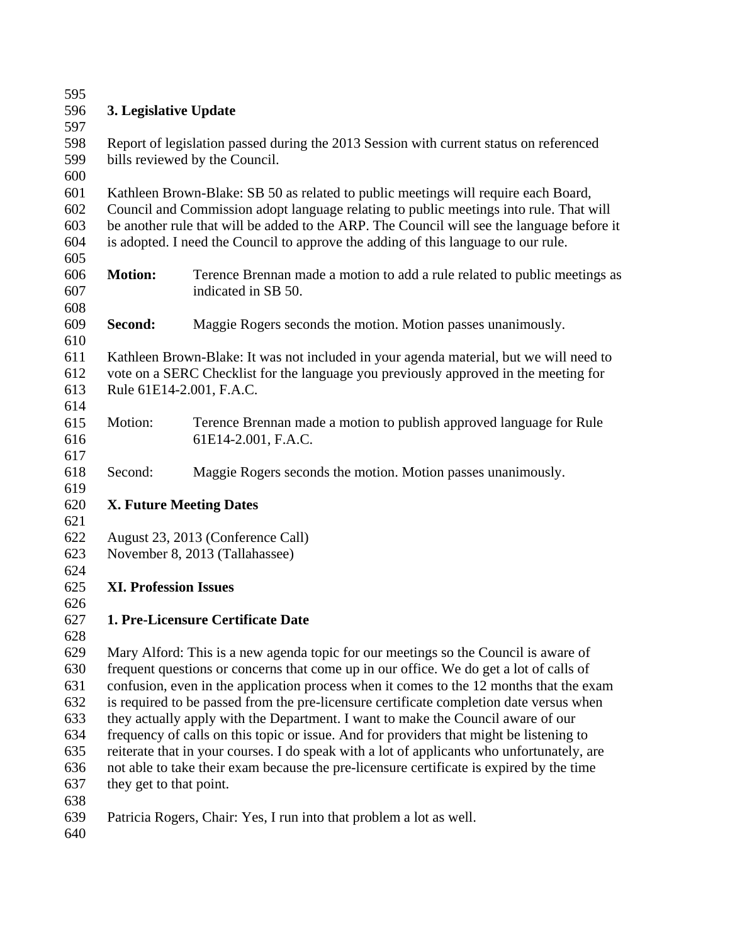| 595 |                                                                                            |                                                                                        |  |
|-----|--------------------------------------------------------------------------------------------|----------------------------------------------------------------------------------------|--|
| 596 | 3. Legislative Update                                                                      |                                                                                        |  |
| 597 |                                                                                            |                                                                                        |  |
| 598 |                                                                                            | Report of legislation passed during the 2013 Session with current status on referenced |  |
| 599 |                                                                                            | bills reviewed by the Council.                                                         |  |
| 600 |                                                                                            |                                                                                        |  |
| 601 |                                                                                            | Kathleen Brown-Blake: SB 50 as related to public meetings will require each Board,     |  |
| 602 | Council and Commission adopt language relating to public meetings into rule. That will     |                                                                                        |  |
| 603 | be another rule that will be added to the ARP. The Council will see the language before it |                                                                                        |  |
| 604 | is adopted. I need the Council to approve the adding of this language to our rule.         |                                                                                        |  |
| 605 |                                                                                            |                                                                                        |  |
| 606 | <b>Motion:</b>                                                                             | Terence Brennan made a motion to add a rule related to public meetings as              |  |
| 607 |                                                                                            | indicated in SB 50.                                                                    |  |
| 608 |                                                                                            |                                                                                        |  |
| 609 | Second:                                                                                    | Maggie Rogers seconds the motion. Motion passes unanimously.                           |  |
| 610 |                                                                                            |                                                                                        |  |
| 611 |                                                                                            | Kathleen Brown-Blake: It was not included in your agenda material, but we will need to |  |
| 612 |                                                                                            | vote on a SERC Checklist for the language you previously approved in the meeting for   |  |
| 613 | Rule 61E14-2.001, F.A.C.                                                                   |                                                                                        |  |
| 614 |                                                                                            |                                                                                        |  |
| 615 | Motion:                                                                                    | Terence Brennan made a motion to publish approved language for Rule                    |  |
| 616 |                                                                                            | 61E14-2.001, F.A.C.                                                                    |  |
| 617 |                                                                                            |                                                                                        |  |
| 618 | Second:                                                                                    | Maggie Rogers seconds the motion. Motion passes unanimously.                           |  |
| 619 |                                                                                            |                                                                                        |  |
| 620 |                                                                                            | <b>X. Future Meeting Dates</b>                                                         |  |
| 621 |                                                                                            |                                                                                        |  |
| 622 |                                                                                            | August 23, 2013 (Conference Call)                                                      |  |
| 623 |                                                                                            | November 8, 2013 (Tallahassee)                                                         |  |
| 624 |                                                                                            |                                                                                        |  |
| 625 | <b>XI. Profession Issues</b>                                                               |                                                                                        |  |
| 626 |                                                                                            |                                                                                        |  |
| 627 |                                                                                            | 1. Pre-Licensure Certificate Date                                                      |  |
| 628 |                                                                                            |                                                                                        |  |
| 629 |                                                                                            | Mary Alford: This is a new agenda topic for our meetings so the Council is aware of    |  |
| 630 |                                                                                            | frequent questions or concerns that come up in our office. We do get a lot of calls of |  |
| 631 | confusion, even in the application process when it comes to the 12 months that the exam    |                                                                                        |  |
| 632 | is required to be passed from the pre-licensure certificate completion date versus when    |                                                                                        |  |
| 633 | they actually apply with the Department. I want to make the Council aware of our           |                                                                                        |  |
| 634 | frequency of calls on this topic or issue. And for providers that might be listening to    |                                                                                        |  |
| 635 | reiterate that in your courses. I do speak with a lot of applicants who unfortunately, are |                                                                                        |  |
| 636 | not able to take their exam because the pre-licensure certificate is expired by the time   |                                                                                        |  |
| 637 | they get to that point.                                                                    |                                                                                        |  |
| 638 |                                                                                            |                                                                                        |  |
| 639 |                                                                                            | Patricia Rogers, Chair: Yes, I run into that problem a lot as well.                    |  |
| 640 |                                                                                            |                                                                                        |  |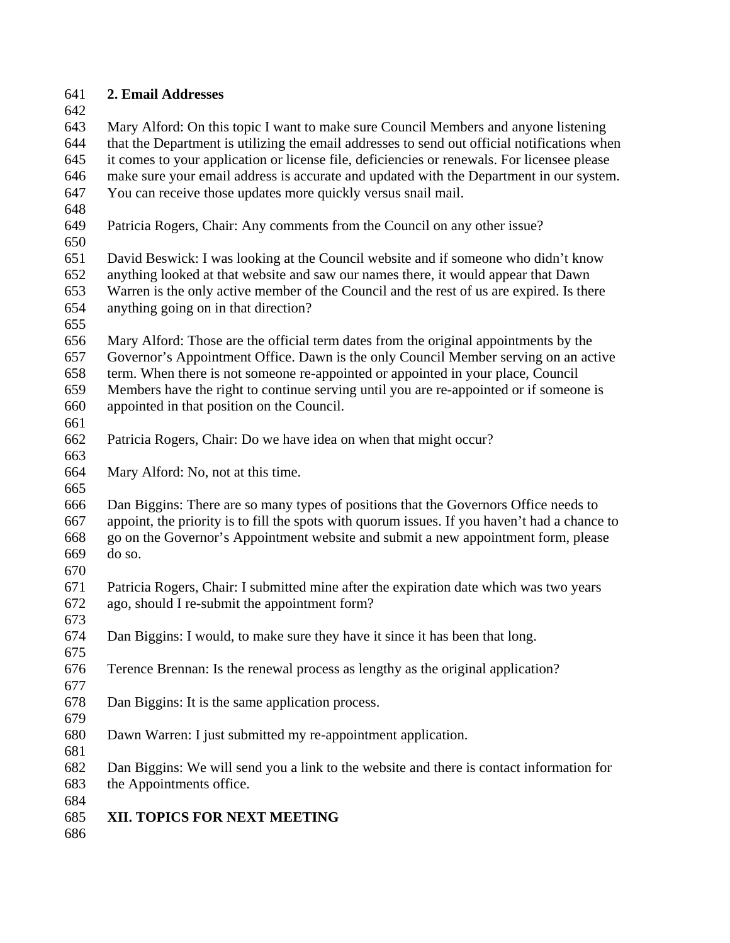# **2. Email Addresses**

 Mary Alford: On this topic I want to make sure Council Members and anyone listening that the Department is utilizing the email addresses to send out official notifications when it comes to your application or license file, deficiencies or renewals. For licensee please make sure your email address is accurate and updated with the Department in our system. You can receive those updates more quickly versus snail mail.

- 
- Patricia Rogers, Chair: Any comments from the Council on any other issue?

 David Beswick: I was looking at the Council website and if someone who didn't know anything looked at that website and saw our names there, it would appear that Dawn Warren is the only active member of the Council and the rest of us are expired. Is there anything going on in that direction?

 Mary Alford: Those are the official term dates from the original appointments by the Governor's Appointment Office. Dawn is the only Council Member serving on an active term. When there is not someone re-appointed or appointed in your place, Council Members have the right to continue serving until you are re-appointed or if someone is

- appointed in that position on the Council.
- 
- Patricia Rogers, Chair: Do we have idea on when that might occur?
- Mary Alford: No, not at this time.
- 

 Dan Biggins: There are so many types of positions that the Governors Office needs to appoint, the priority is to fill the spots with quorum issues. If you haven't had a chance to go on the Governor's Appointment website and submit a new appointment form, please do so.

- Patricia Rogers, Chair: I submitted mine after the expiration date which was two years ago, should I re-submit the appointment form?
- Dan Biggins: I would, to make sure they have it since it has been that long.
- Terence Brennan: Is the renewal process as lengthy as the original application?
- Dan Biggins: It is the same application process.
- Dawn Warren: I just submitted my re-appointment application.
- 

 Dan Biggins: We will send you a link to the website and there is contact information for the Appointments office.

 

- **XII. TOPICS FOR NEXT MEETING**
-